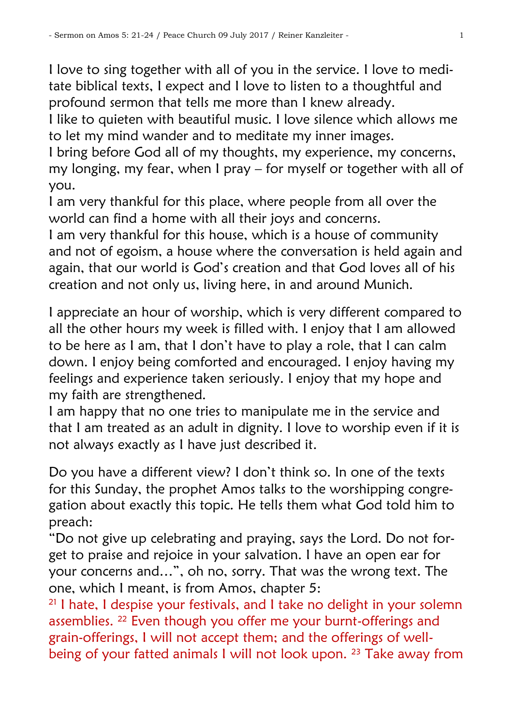I love to sing together with all of you in the service. I love to meditate biblical texts, I expect and I love to listen to a thoughtful and profound sermon that tells me more than I knew already.

I like to quieten with beautiful music. I love silence which allows me to let my mind wander and to meditate my inner images.

I bring before God all of my thoughts, my experience, my concerns, my longing, my fear, when I pray – for myself or together with all of you.

I am very thankful for this place, where people from all over the world can find a home with all their joys and concerns.

I am very thankful for this house, which is a house of community and not of egoism, a house where the conversation is held again and again, that our world is God"s creation and that God loves all of his creation and not only us, living here, in and around Munich.

I appreciate an hour of worship, which is very different compared to all the other hours my week is filled with. I enjoy that I am allowed to be here as I am, that I don"t have to play a role, that I can calm down. I enjoy being comforted and encouraged. I enjoy having my feelings and experience taken seriously. I enjoy that my hope and my faith are strengthened.

I am happy that no one tries to manipulate me in the service and that I am treated as an adult in dignity. I love to worship even if it is not always exactly as I have just described it.

Do you have a different view? I don"t think so. In one of the texts for this Sunday, the prophet Amos talks to the worshipping congregation about exactly this topic. He tells them what God told him to preach:

"Do not give up celebrating and praying, says the Lord. Do not forget to praise and rejoice in your salvation. I have an open ear for your concerns and…", oh no, sorry. That was the wrong text. The one, which I meant, is from Amos, chapter 5:

<sup>21</sup> I hate, I despise your festivals, and I take no delight in your solemn assemblies. <sup>22</sup> Even though you offer me your burnt-offerings and grain-offerings, I will not accept them; and the offerings of wellbeing of your fatted animals I will not look upon. <sup>23</sup> Take away from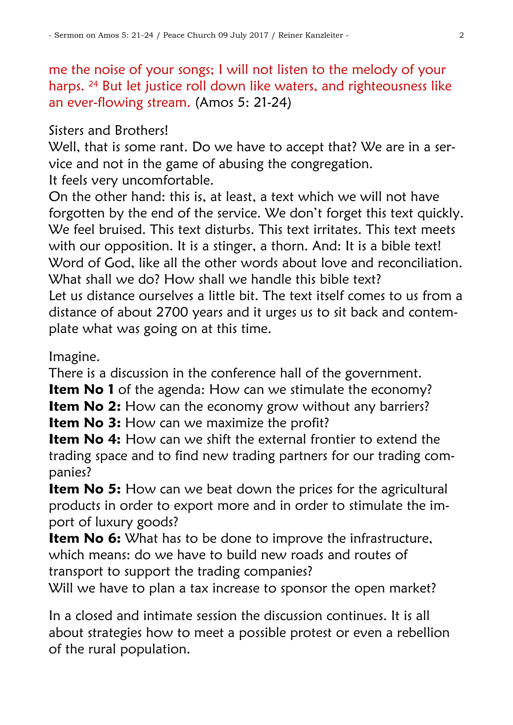me the noise of your songs; I will not listen to the melody of your harps. <sup>24</sup> But let justice roll down like waters, and righteousness like an ever-flowing stream. (Amos 5: 21-24)

Sisters and Brothers!

Well, that is some rant. Do we have to accept that? We are in a service and not in the game of abusing the congregation. It feels very uncomfortable.

On the other hand: this is, at least, a text which we will not have forgotten by the end of the service. We don"t forget this text quickly. We feel bruised. This text disturbs. This text irritates. This text meets with our opposition. It is a stinger, a thorn. And: It is a bible text! Word of God, like all the other words about love and reconciliation. What shall we do? How shall we handle this bible text? Let us distance ourselves a little bit. The text itself comes to us from a distance of about 2700 years and it urges us to sit back and contemplate what was going on at this time.

Imagine.

There is a discussion in the conference hall of the government.

**Item No 1** of the agenda: How can we stimulate the economy?

**Item No 2:** How can the economy grow without any barriers?

**Item No 3:** How can we maximize the profit?

**Item No 4:** How can we shift the external frontier to extend the trading space and to find new trading partners for our trading companies?

**Item No 5:** How can we beat down the prices for the agricultural products in order to export more and in order to stimulate the import of luxury goods?

**Item No 6:** What has to be done to improve the infrastructure, which means: do we have to build new roads and routes of transport to support the trading companies?

Will we have to plan a tax increase to sponsor the open market?

In a closed and intimate session the discussion continues. It is all about strategies how to meet a possible protest or even a rebellion of the rural population.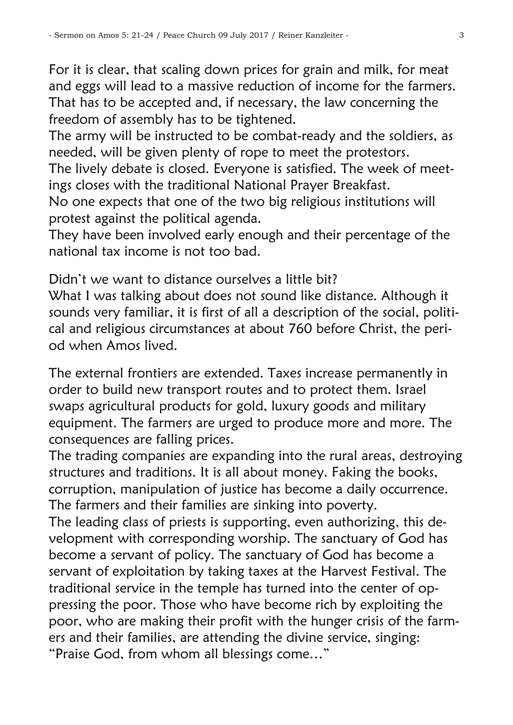For it is clear, that scaling down prices for grain and milk, for meat and eggs will lead to a massive reduction of income for the farmers. That has to be accepted and, if necessary, the law concerning the freedom of assembly has to be tightened.

The army will be instructed to be combat-ready and the soldiers, as needed, will be given plenty of rope to meet the protestors.

The lively debate is closed. Everyone is satisfied. The week of meetings closes with the traditional National Prayer Breakfast.

No one expects that one of the two big religious institutions will protest against the political agenda.

They have been involved early enough and their percentage of the national tax income is not too bad.

Didn"t we want to distance ourselves a little bit?

What I was talking about does not sound like distance. Although it sounds very familiar, it is first of all a description of the social, political and religious circumstances at about 760 before Christ, the period when Amos lived.

The external frontiers are extended. Taxes increase permanently in order to build new transport routes and to protect them. Israel swaps agricultural products for gold, luxury goods and military equipment. The farmers are urged to produce more and more. The consequences are falling prices.

The trading companies are expanding into the rural areas, destroying structures and traditions. It is all about money. Faking the books, corruption, manipulation of justice has become a daily occurrence. The farmers and their families are sinking into poverty.

The leading class of priests is supporting, even authorizing, this development with corresponding worship. The sanctuary of God has become a servant of policy. The sanctuary of God has become a servant of exploitation by taking taxes at the Harvest Festival. The traditional service in the temple has turned into the center of oppressing the poor. Those who have become rich by exploiting the poor, who are making their profit with the hunger crisis of the farmers and their families, are attending the divine service, singing: "Praise God, from whom all blessings come…"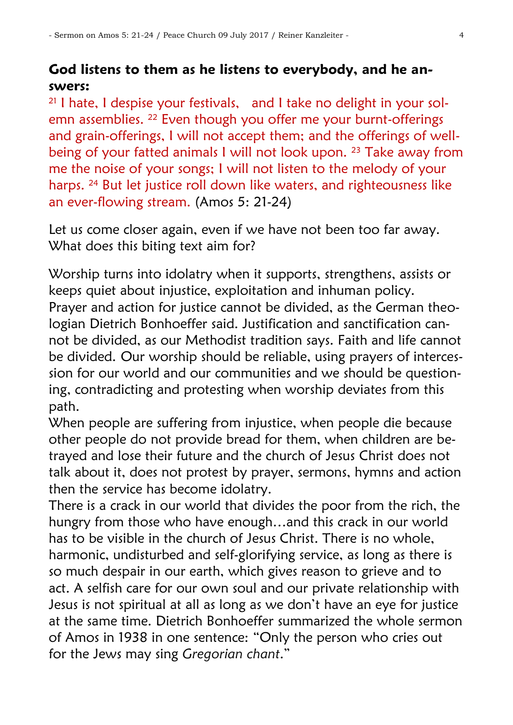## **God listens to them as he listens to everybody, and he answers:**

<sup>21</sup> I hate, I despise your festivals, and I take no delight in your solemn assemblies. <sup>22</sup> Even though you offer me your burnt-offerings and grain-offerings, I will not accept them; and the offerings of wellbeing of your fatted animals I will not look upon. <sup>23</sup> Take away from me the noise of your songs; I will not listen to the melody of your harps. <sup>24</sup> But let justice roll down like waters, and righteousness like an ever-flowing stream. (Amos 5: 21-24)

Let us come closer again, even if we have not been too far away. What does this biting text aim for?

Worship turns into idolatry when it supports, strengthens, assists or keeps quiet about injustice, exploitation and inhuman policy. Prayer and action for justice cannot be divided, as the German theologian Dietrich Bonhoeffer said. Justification and sanctification cannot be divided, as our Methodist tradition says. Faith and life cannot be divided. Our worship should be reliable, using prayers of intercession for our world and our communities and we should be questioning, contradicting and protesting when worship deviates from this path.

When people are suffering from injustice, when people die because other people do not provide bread for them, when children are betrayed and lose their future and the church of Jesus Christ does not talk about it, does not protest by prayer, sermons, hymns and action then the service has become idolatry.

There is a crack in our world that divides the poor from the rich, the hungry from those who have enough…and this crack in our world has to be visible in the church of Jesus Christ. There is no whole, harmonic, undisturbed and self-glorifying service, as long as there is so much despair in our earth, which gives reason to grieve and to act. A selfish care for our own soul and our private relationship with Jesus is not spiritual at all as long as we don"t have an eye for justice at the same time. Dietrich Bonhoeffer summarized the whole sermon of Amos in 1938 in one sentence: "Only the person who cries out for the Jews may sing *Gregorian chant*."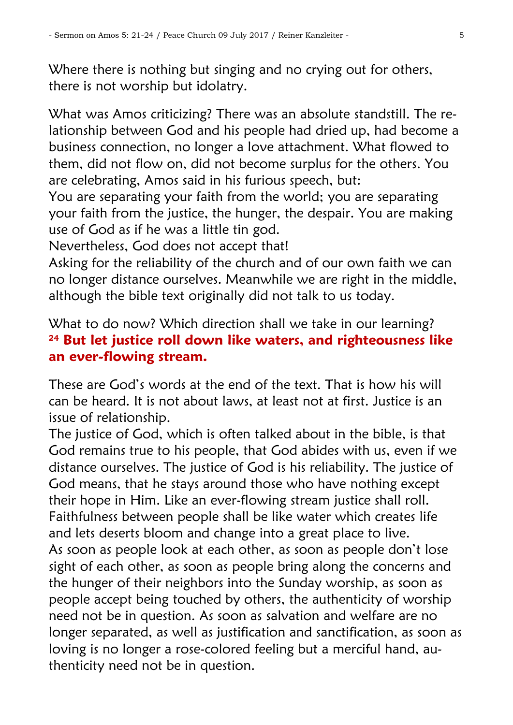Where there is nothing but singing and no crying out for others, there is not worship but idolatry.

What was Amos criticizing? There was an absolute standstill. The relationship between God and his people had dried up, had become a business connection, no longer a love attachment. What flowed to them, did not flow on, did not become surplus for the others. You are celebrating, Amos said in his furious speech, but:

You are separating your faith from the world; you are separating your faith from the justice, the hunger, the despair. You are making use of God as if he was a little tin god.

Nevertheless, God does not accept that!

Asking for the reliability of the church and of our own faith we can no longer distance ourselves. Meanwhile we are right in the middle, although the bible text originally did not talk to us today.

## What to do now? Which direction shall we take in our learning? **<sup>24</sup> But let justice roll down like waters, and righteousness like an ever-flowing stream.**

These are God"s words at the end of the text. That is how his will can be heard. It is not about laws, at least not at first. Justice is an issue of relationship.

The justice of God, which is often talked about in the bible, is that God remains true to his people, that God abides with us, even if we distance ourselves. The justice of God is his reliability. The justice of God means, that he stays around those who have nothing except their hope in Him. Like an ever-flowing stream justice shall roll. Faithfulness between people shall be like water which creates life and lets deserts bloom and change into a great place to live. As soon as people look at each other, as soon as people don"t lose sight of each other, as soon as people bring along the concerns and the hunger of their neighbors into the Sunday worship, as soon as people accept being touched by others, the authenticity of worship need not be in question. As soon as salvation and welfare are no longer separated, as well as justification and sanctification, as soon as loving is no longer a rose-colored feeling but a merciful hand, authenticity need not be in question.